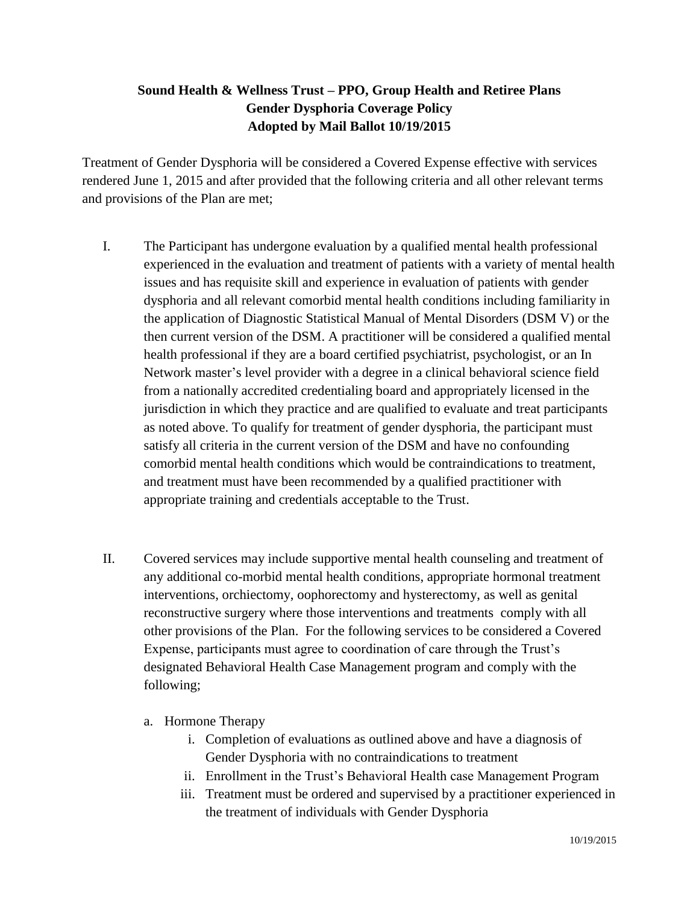## **Sound Health & Wellness Trust – PPO, Group Health and Retiree Plans Gender Dysphoria Coverage Policy Adopted by Mail Ballot 10/19/2015**

Treatment of Gender Dysphoria will be considered a Covered Expense effective with services rendered June 1, 2015 and after provided that the following criteria and all other relevant terms and provisions of the Plan are met;

- I. The Participant has undergone evaluation by a qualified mental health professional experienced in the evaluation and treatment of patients with a variety of mental health issues and has requisite skill and experience in evaluation of patients with gender dysphoria and all relevant comorbid mental health conditions including familiarity in the application of Diagnostic Statistical Manual of Mental Disorders (DSM V) or the then current version of the DSM. A practitioner will be considered a qualified mental health professional if they are a board certified psychiatrist, psychologist, or an In Network master's level provider with a degree in a clinical behavioral science field from a nationally accredited credentialing board and appropriately licensed in the jurisdiction in which they practice and are qualified to evaluate and treat participants as noted above. To qualify for treatment of gender dysphoria, the participant must satisfy all criteria in the current version of the DSM and have no confounding comorbid mental health conditions which would be contraindications to treatment, and treatment must have been recommended by a qualified practitioner with appropriate training and credentials acceptable to the Trust.
- II. Covered services may include supportive mental health counseling and treatment of any additional co-morbid mental health conditions, appropriate hormonal treatment interventions, orchiectomy, oophorectomy and hysterectomy, as well as genital reconstructive surgery where those interventions and treatments comply with all other provisions of the Plan. For the following services to be considered a Covered Expense, participants must agree to coordination of care through the Trust's designated Behavioral Health Case Management program and comply with the following;
	- a. Hormone Therapy
		- i. Completion of evaluations as outlined above and have a diagnosis of Gender Dysphoria with no contraindications to treatment
		- ii. Enrollment in the Trust's Behavioral Health case Management Program
		- iii. Treatment must be ordered and supervised by a practitioner experienced in the treatment of individuals with Gender Dysphoria